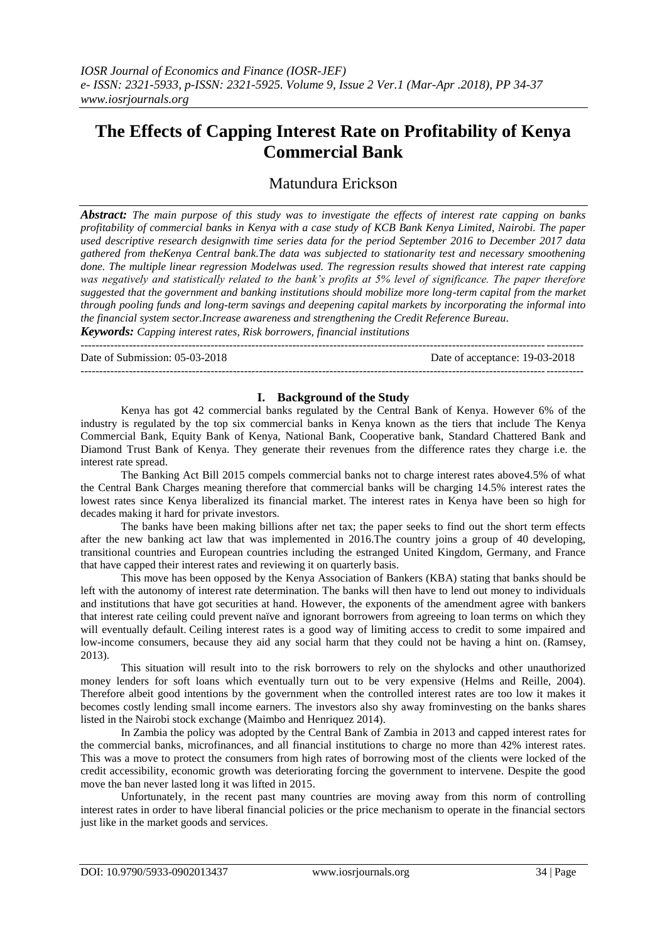# **The Effects of Capping Interest Rate on Profitability of Kenya Commercial Bank**

## Matundura Erickson

*Abstract: The main purpose of this study was to investigate the effects of interest rate capping on banks profitability of commercial banks in Kenya with a case study of KCB Bank Kenya Limited, Nairobi. The paper used descriptive research designwith time series data for the period September 2016 to December 2017 data gathered from theKenya Central bank.The data was subjected to stationarity test and necessary smoothening done. The multiple linear regression Modelwas used. The regression results showed that interest rate capping was negatively and statistically related to the bank's profits at 5% level of significance. The paper therefore suggested that the government and banking institutions should mobilize more long-term capital from the market through pooling funds and long-term savings and deepening capital markets by incorporating the informal into the financial system sector.Increase awareness and strengthening the Credit Reference Bureau. Keywords: Capping interest rates, Risk borrowers, financial institutions*

---------------------------------------------------------------------------------------------------------------------------------------

Date of Submission: 05-03-2018 Date of acceptance: 19-03-2018

---------------------------------------------------------------------------------------------------------------------------------------

#### **I. Background of the Study**

Kenya has got 42 commercial banks regulated by the Central Bank of Kenya. However 6% of the industry is regulated by the top six commercial banks in Kenya known as the tiers that include The Kenya Commercial Bank, Equity Bank of Kenya, National Bank, Cooperative bank, Standard Chattered Bank and Diamond Trust Bank of Kenya. They generate their revenues from the difference rates they charge i.e. the interest rate spread.

The Banking Act Bill 2015 compels commercial banks not to charge interest rates above4.5% of what the Central Bank Charges meaning therefore that commercial banks will be charging 14.5% interest rates the lowest rates since Kenya liberalized its financial market. The interest rates in Kenya have been so high for decades making it hard for private investors.

The banks have been making billions after net tax; the paper seeks to find out the short term effects after the new banking act law that was implemented in 2016.The country joins a group of 40 developing, transitional countries and European countries including the estranged United Kingdom, Germany, and France that have capped their interest rates and reviewing it on quarterly basis.

This move has been opposed by the Kenya Association of Bankers (KBA) stating that banks should be left with the autonomy of interest rate determination. The banks will then have to lend out money to individuals and institutions that have got securities at hand. However, the exponents of the amendment agree with bankers that interest rate ceiling could prevent naïve and ignorant borrowers from agreeing to loan terms on which they will eventually default. Ceiling interest rates is a good way of limiting access to credit to some impaired and low-income consumers, because they aid any social harm that they could not be having a hint on. (Ramsey, 2013).

This situation will result into to the risk borrowers to rely on the shylocks and other unauthorized money lenders for soft loans which eventually turn out to be very expensive (Helms and Reille, 2004). Therefore albeit good intentions by the government when the controlled interest rates are too low it makes it becomes costly lending small income earners. The investors also shy away frominvesting on the banks shares listed in the Nairobi stock exchange (Maimbo and Henriquez 2014).

In Zambia the policy was adopted by the Central Bank of Zambia in 2013 and capped interest rates for the commercial banks, microfinances, and all financial institutions to charge no more than 42% interest rates. This was a move to protect the consumers from high rates of borrowing most of the clients were locked of the credit accessibility, economic growth was deteriorating forcing the government to intervene. Despite the good move the ban never lasted long it was lifted in 2015.

Unfortunately, in the recent past many countries are moving away from this norm of controlling interest rates in order to have liberal financial policies or the price mechanism to operate in the financial sectors just like in the market goods and services.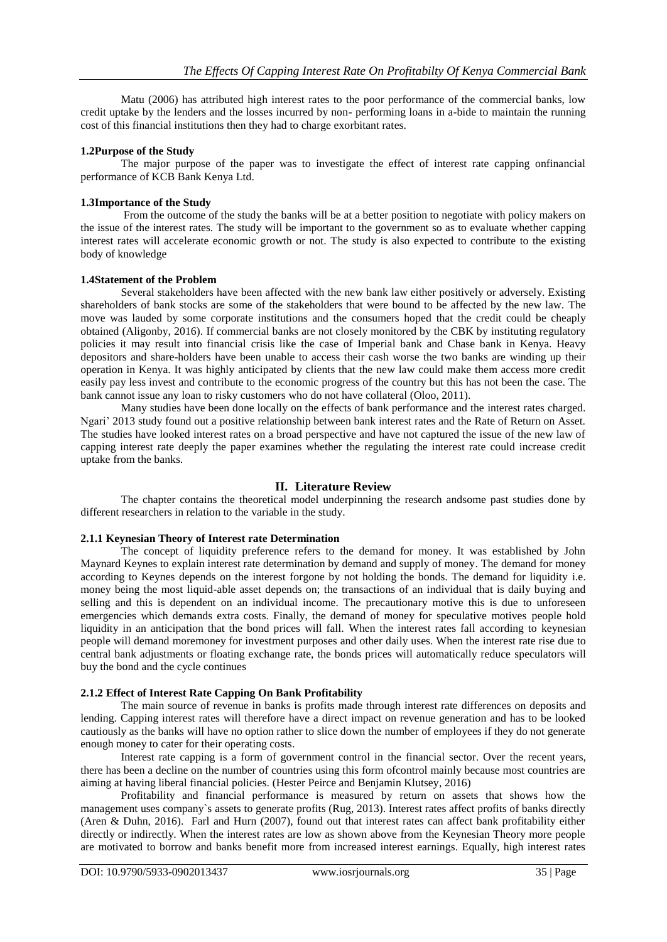Matu (2006) has attributed high interest rates to the poor performance of the commercial banks, low credit uptake by the lenders and the losses incurred by non- performing loans in a-bide to maintain the running cost of this financial institutions then they had to charge exorbitant rates.

#### **1.2Purpose of the Study**

The major purpose of the paper was to investigate the effect of interest rate capping onfinancial performance of KCB Bank Kenya Ltd.

#### **1.3Importance of the Study**

From the outcome of the study the banks will be at a better position to negotiate with policy makers on the issue of the interest rates. The study will be important to the government so as to evaluate whether capping interest rates will accelerate economic growth or not. The study is also expected to contribute to the existing body of knowledge

#### **1.4Statement of the Problem**

Several stakeholders have been affected with the new bank law either positively or adversely. Existing shareholders of bank stocks are some of the stakeholders that were bound to be affected by the new law. The move was lauded by some corporate institutions and the consumers hoped that the credit could be cheaply obtained (Aligonby, 2016). If commercial banks are not closely monitored by the CBK by instituting regulatory policies it may result into financial crisis like the case of Imperial bank and Chase bank in Kenya. Heavy depositors and share-holders have been unable to access their cash worse the two banks are winding up their operation in Kenya. It was highly anticipated by clients that the new law could make them access more credit easily pay less invest and contribute to the economic progress of the country but this has not been the case. The bank cannot issue any loan to risky customers who do not have collateral (Oloo, 2011).

Many studies have been done locally on the effects of bank performance and the interest rates charged. Ngari' 2013 study found out a positive relationship between bank interest rates and the Rate of Return on Asset. The studies have looked interest rates on a broad perspective and have not captured the issue of the new law of capping interest rate deeply the paper examines whether the regulating the interest rate could increase credit uptake from the banks.

## **II. Literature Review**

The chapter contains the theoretical model underpinning the research andsome past studies done by different researchers in relation to the variable in the study.

## **2.1.1 Keynesian Theory of Interest rate Determination**

The concept of liquidity preference refers to the demand for money. It was established by John Maynard Keynes to explain interest rate determination by demand and supply of money. The demand for money according to Keynes depends on the interest forgone by not holding the bonds. The demand for liquidity i.e. money being the most liquid-able asset depends on; the transactions of an individual that is daily buying and selling and this is dependent on an individual income. The precautionary motive this is due to unforeseen emergencies which demands extra costs. Finally, the demand of money for speculative motives people hold liquidity in an anticipation that the bond prices will fall. When the interest rates fall according to keynesian people will demand moremoney for investment purposes and other daily uses. When the interest rate rise due to central bank adjustments or floating exchange rate, the bonds prices will automatically reduce speculators will buy the bond and the cycle continues

## **2.1.2 Effect of Interest Rate Capping On Bank Profitability**

The main source of revenue in banks is profits made through interest rate differences on deposits and lending. Capping interest rates will therefore have a direct impact on revenue generation and has to be looked cautiously as the banks will have no option rather to slice down the number of employees if they do not generate enough money to cater for their operating costs.

Interest rate capping is a form of government control in the financial sector. Over the recent years, there has been a decline on the number of countries using this form ofcontrol mainly because most countries are aiming at having liberal financial policies. (Hester Peirce and Benjamin Klutsey, 2016)

Profitability and financial performance is measured by return on assets that shows how the management uses company`s assets to generate profits (Rug, 2013). Interest rates affect profits of banks directly (Aren & Duhn, 2016). Farl and Hurn (2007), found out that interest rates can affect bank profitability either directly or indirectly. When the interest rates are low as shown above from the Keynesian Theory more people are motivated to borrow and banks benefit more from increased interest earnings. Equally, high interest rates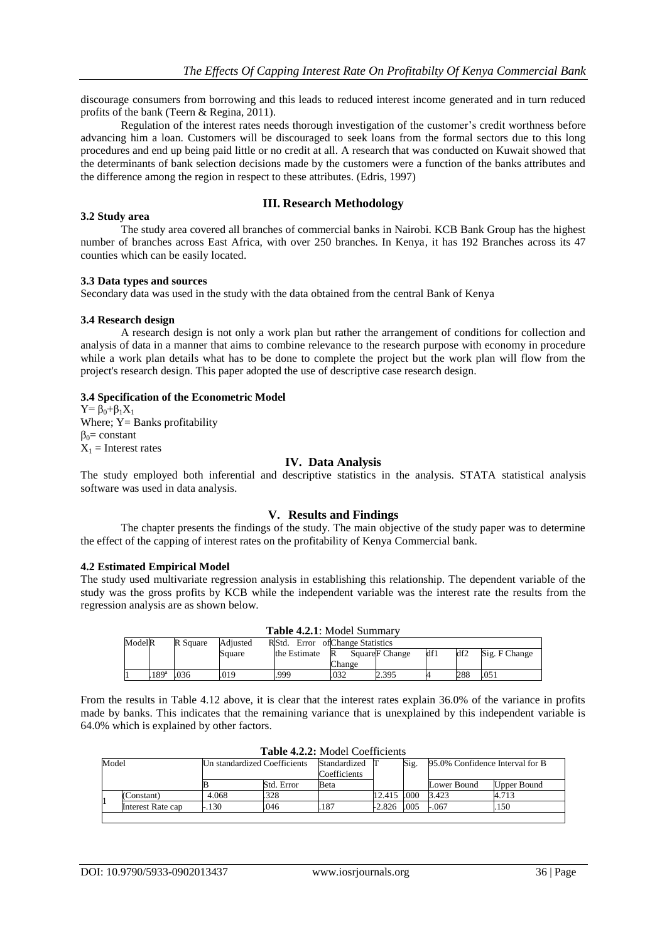discourage consumers from borrowing and this leads to reduced interest income generated and in turn reduced profits of the bank (Teern & Regina, 2011).

Regulation of the interest rates needs thorough investigation of the customer's credit worthness before advancing him a loan. Customers will be discouraged to seek loans from the formal sectors due to this long procedures and end up being paid little or no credit at all. A research that was conducted on Kuwait showed that the determinants of bank selection decisions made by the customers were a function of the banks attributes and the difference among the region in respect to these attributes. (Edris, 1997)

## **III. Research Methodology**

#### The study area covered all branches of commercial banks in Nairobi. KCB Bank Group has the highest number of branches across East Africa, with over 250 branches. In Kenya, it has 192 Branches across its 47 counties which can be easily located.

#### **3.3 Data types and sources**

Secondary data was used in the study with the data obtained from the central Bank of Kenya

#### **3.4 Research design**

**3.2 Study area**

A research design is not only a work plan but rather the arrangement of conditions for collection and analysis of data in a manner that aims to combine relevance to the research purpose with economy in procedure while a work plan details what has to be done to complete the project but the work plan will flow from the project's research design. This paper adopted the use of descriptive case research design.

#### **3.4 Specification of the Econometric Model**

 $Y = \beta_0 + \beta_1 X_1$ Where;  $Y =$  Banks profitability  $β<sub>0</sub>= constant$  $X_1$  = Interest rates

#### **IV. Data Analysis**

The study employed both inferential and descriptive statistics in the analysis. STATA statistical analysis software was used in data analysis.

## **V. Results and Findings**

The chapter presents the findings of the study. The main objective of the study paper was to determine the effect of the capping of interest rates on the profitability of Kenya Commercial bank.

#### **4.2 Estimated Empirical Model**

The study used multivariate regression analysis in establishing this relationship. The dependent variable of the study was the gross profits by KCB while the independent variable was the interest rate the results from the regression analysis are as shown below.

| <b>Table 4.2.1:</b> Model Summary |                  |          |          |                                  |             |                            |     |     |               |  |  |
|-----------------------------------|------------------|----------|----------|----------------------------------|-------------|----------------------------|-----|-----|---------------|--|--|
| ModelR                            |                  | R Square | Adiusted | RStd. Error of Change Statistics |             |                            |     |     |               |  |  |
|                                   |                  |          | Square   | the Estimate                     | R<br>Change | Square <sub>F</sub> Change | df1 | df2 | Sig. F Change |  |  |
|                                   | 189 <sup>a</sup> | .036     | .019     | .999                             | .032        | 2.395                      |     | 288 | .051          |  |  |

From the results in Table 4.12 above, it is clear that the interest rates explain 36.0% of the variance in profits made by banks. This indicates that the remaining variance that is unexplained by this independent variable is 64.0% which is explained by other factors.

| Model |                   | Un standardized Coefficients |            | Standardized<br>Coefficients |          | Sig. | 95.0% Confidence Interval for B |             |
|-------|-------------------|------------------------------|------------|------------------------------|----------|------|---------------------------------|-------------|
|       |                   | в                            | Std. Error | Beta                         |          |      | Lower Bound                     | Upper Bound |
|       | (Constant)        | 4.068                        | .328       |                              | 12.415   | .000 | 3.423                           | 4.713       |
|       | Interest Rate cap | $-.130$                      | 046        | 187                          | $-2.826$ | .005 | $-.067$                         | 150         |
|       |                   |                              |            |                              |          |      |                                 |             |

**Table 4.2.2:** Model Coefficients